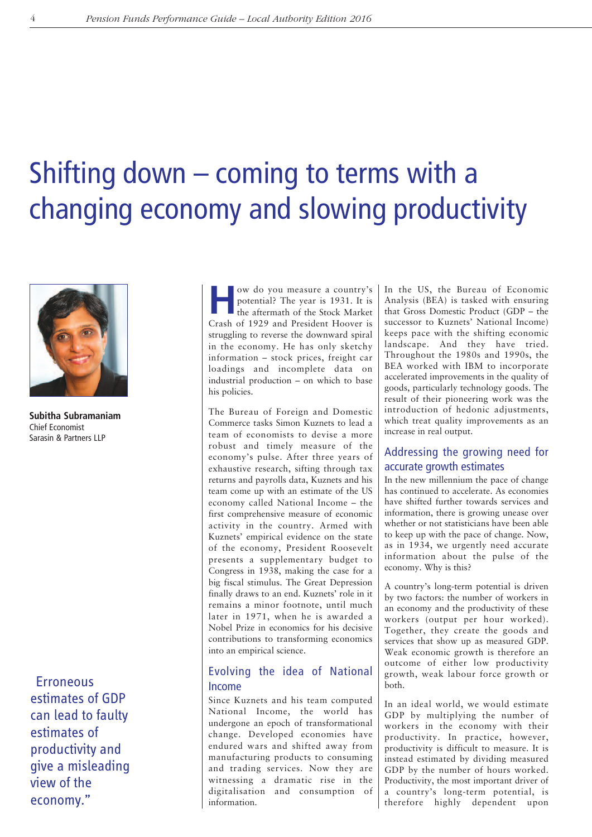# Shifting down  $-$  coming to terms with a changing economy and slowing productivity



**Subitha Subramaniam** Chief Economist Sarasin & Partners LLP

**Erroneous** estimates of GDP can lead to faulty estimates of productivity and give a misleading view of the economy."

**How do you measure a country's**<br>potential? The year is 1931. It is<br>the aftermath of the Stock Market potential? The year is 1931. It is Crash of 1929 and President Hoover is struggling to reverse the downward spiral in the economy. He has only sketchy information – stock prices, freight car loadings and incomplete data on industrial production – on which to base his policies.

The Bureau of Foreign and Domestic Commerce tasks Simon Kuznets to lead a team of economists to devise a more robust and timely measure of the economy's pulse. After three years of exhaustive research, sifting through tax returns and payrolls data, Kuznets and his team come up with an estimate of the US economy called National Income – the first comprehensive measure of economic activity in the country. Armed with Kuznets' empirical evidence on the state of the economy, President Roosevelt presents a supplementary budget to Congress in 1938, making the case for a big fiscal stimulus. The Great Depression finally draws to an end. Kuznets' role in it remains a minor footnote, until much later in 1971, when he is awarded a Nobel Prize in economics for his decisive contributions to transforming economics into an empirical science.

# Evolving the idea of National Income

Since Kuznets and his team computed National Income, the world has undergone an epoch of transformational change. Developed economies have endured wars and shifted away from manufacturing products to consuming and trading services. Now they are witnessing a dramatic rise in the digitalisation and consumption of information.

In the US, the Bureau of Economic Analysis (BEA) is tasked with ensuring that Gross Domestic Product (GDP – the successor to Kuznets' National Income) keeps pace with the shifting economic landscape. And they have tried. Throughout the 1980s and 1990s, the BEA worked with IBM to incorporate accelerated improvements in the quality of goods, particularly technology goods. The result of their pioneering work was the introduction of hedonic adjustments, which treat quality improvements as an increase in real output.

## Addressing the growing need for accurate growth estimates

In the new millennium the pace of change has continued to accelerate. As economies have shifted further towards services and information, there is growing unease over whether or not statisticians have been able to keep up with the pace of change. Now, as in 1934, we urgently need accurate information about the pulse of the economy. Why is this?

A country's long-term potential is driven by two factors: the number of workers in an economy and the productivity of these workers (output per hour worked). Together, they create the goods and services that show up as measured GDP. Weak economic growth is therefore an outcome of either low productivity growth, weak labour force growth or both.

In an ideal world, we would estimate GDP by multiplying the number of workers in the economy with their productivity. In practice, however, productivity is difficult to measure. It is instead estimated by dividing measured GDP by the number of hours worked. Productivity, the most important driver of a country's long-term potential, is therefore highly dependent upon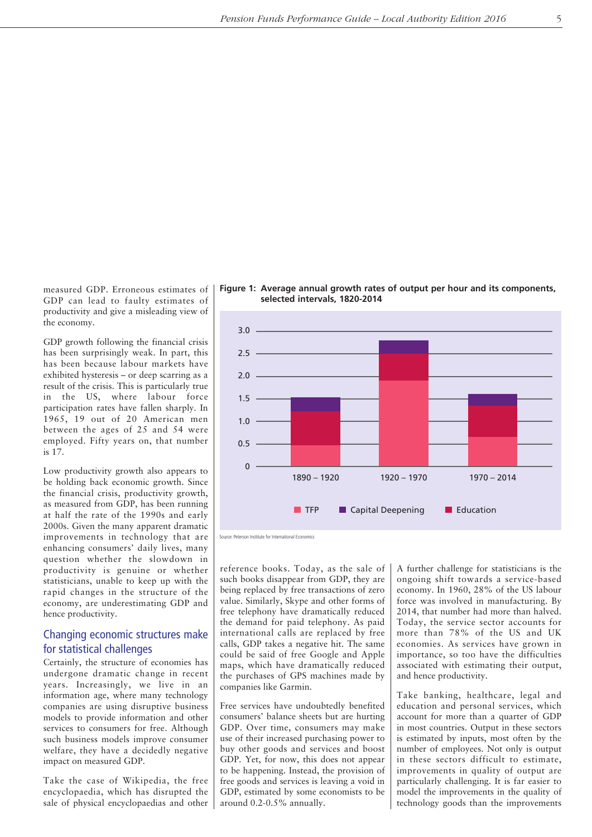measured GDP. Erroneous estimates of GDP can lead to faulty estimates of productivity and give a misleading view of the economy.

GDP growth following the financial crisis has been surprisingly weak. In part, this has been because labour markets have exhibited hysteresis – or deep scarring as a result of the crisis. This is particularly true in the US, where labour force participation rates have fallen sharply. In 1965, 19 out of 20 American men between the ages of 25 and 54 were employed. Fifty years on, that number is 17.

Low productivity growth also appears to be holding back economic growth. Since the financial crisis, productivity growth, as measured from GDP, has been running at half the rate of the 1990s and early 2000s. Given the many apparent dramatic improvements in technology that are enhancing consumers' daily lives, many question whether the slowdown in productivity is genuine or whether statisticians, unable to keep up with the rapid changes in the structure of the economy, are underestimating GDP and hence productivity.

### Changing economic structures make for statistical challenges

Certainly, the structure of economies has undergone dramatic change in recent years. Increasingly, we live in an information age, where many technology companies are using disruptive business models to provide information and other services to consumers for free. Although such business models improve consumer welfare, they have a decidedly negative impact on measured GDP.

Take the case of Wikipedia, the free encyclopaedia, which has disrupted the sale of physical encyclopaedias and other





Source: Peterson Institute for International Economics

reference books. Today, as the sale of such books disappear from GDP, they are being replaced by free transactions of zero value. Similarly, Skype and other forms of free telephony have dramatically reduced the demand for paid telephony. As paid international calls are replaced by free calls, GDP takes a negative hit. The same could be said of free Google and Apple maps, which have dramatically reduced the purchases of GPS machines made by companies like Garmin.

Free services have undoubtedly benefited consumers' balance sheets but are hurting GDP. Over time, consumers may make use of their increased purchasing power to buy other goods and services and boost GDP. Yet, for now, this does not appear to be happening. Instead, the provision of free goods and services is leaving a void in GDP, estimated by some economists to be around 0.2-0.5% annually.

A further challenge for statisticians is the ongoing shift towards a service-based economy. In 1960, 28% of the US labour force was involved in manufacturing. By 2014, that number had more than halved. Today, the service sector accounts for more than 78% of the US and UK economies. As services have grown in importance, so too have the difficulties associated with estimating their output, and hence productivity.

Take banking, healthcare, legal and education and personal services, which account for more than a quarter of GDP in most countries. Output in these sectors is estimated by inputs, most often by the number of employees. Not only is output in these sectors difficult to estimate, improvements in quality of output are particularly challenging. It is far easier to model the improvements in the quality of technology goods than the improvements